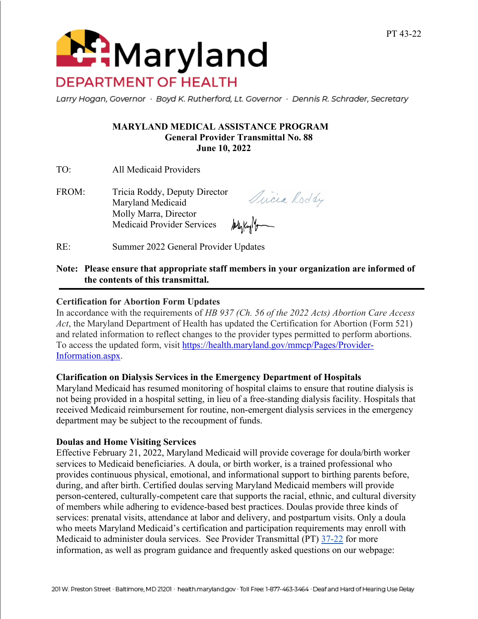**Maryland DEPARTMENT OF HEALTH** 

Larry Hogan, Governor · Boyd K. Rutherford, Lt. Governor · Dennis R. Schrader, Secretary

#### **MARYLAND MEDICAL ASSISTANCE PROGRAM General Provider Transmittal No. 88 June 10, 2022**

TO: All Medicaid Providers

FROM: Tricia Roddy, Deputy Director Maryland Medicaid Molly Marra, Director All Kay Marcon Medicaid Provider Services

Quicia Roddy

RE: Summer 2022 General Provider Updates

#### **Note: Please ensure that appropriate staff members in your organization are informed of the contents of this transmittal.**

# **Certification for Abortion Form Updates**

In accordance with the requirements of *HB 937 (Ch. 56 of the 2022 Acts) Abortion Care Access Act*, the Maryland Department of Health has updated the Certification for Abortion (Form 521) and related information to reflect changes to the provider types permitted to perform abortions. To access the updated form, visit https://health.maryland.gov/mmcp/Pages/Provider-Information.aspx.

#### **Clarification on Dialysis Services in the Emergency Department of Hospitals**

Maryland Medicaid has resumed monitoring of hospital claims to ensure that routine dialysis is not being provided in a hospital setting, in lieu of a free-standing dialysis facility. Hospitals that received Medicaid reimbursement for routine, non-emergent dialysis services in the emergency department may be subject to the recoupment of funds.

#### **Doulas and Home Visiting Services**

Effective February 21, 2022, Maryland Medicaid will provide coverage for doula/birth worker services to Medicaid beneficiaries. A doula, or birth worker, is a trained professional who provides continuous physical, emotional, and informational support to birthing parents before, during, and after birth. Certified doulas serving Maryland Medicaid members will provide person-centered, culturally-competent care that supports the racial, ethnic, and cultural diversity of members while adhering to evidence-based best practices. Doulas provide three kinds of services: prenatal visits, attendance at labor and delivery, and postpartum visits. Only a doula who meets Maryland Medicaid's certification and participation requirements may enroll with Medicaid to administer doula services. See Provider Transmittal (PT) 37-22 for more information, as well as program guidance and frequently asked questions on our webpage: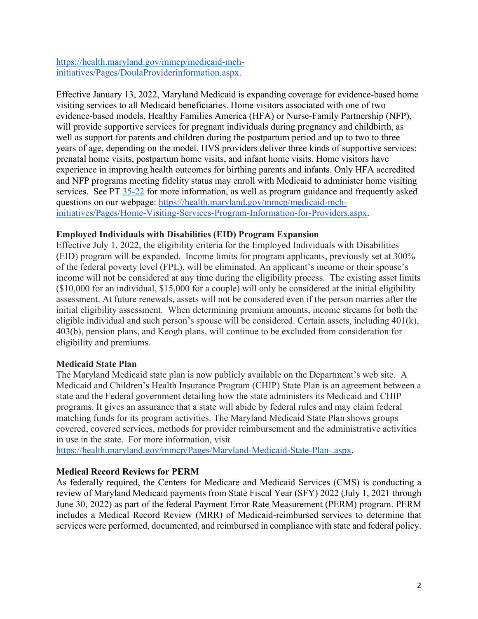https://health.maryland.gov/mmcp/medicaid-mchinitiatives/Pages/DoulaProviderinformation.aspx.

Effective January 13, 2022, Maryland Medicaid is expanding coverage for evidence-based home visiting services to all Medicaid beneficiaries. Home visitors associated with one of two evidence-based models, Healthy Families America (HFA) or Nurse-Family Partnership (NFP), will provide supportive services for pregnant individuals during pregnancy and childbirth, as well as support for parents and children during the postpartum period and up to two to three years of age, depending on the model. HVS providers deliver three kinds of supportive services: prenatal home visits, postpartum home visits, and infant home visits. Home visitors have experience in improving health outcomes for birthing parents and infants. Only HFA accredited and NFP programs meeting fidelity status may enroll with Medicaid to administer home visiting services. See PT 35-22 for more information, as well as program guidance and frequently asked questions on our webpage: https://health.maryland.gov/mmcp/medicaid-mchinitiatives/Pages/Home-Visiting-Services-Program-Information-for-Providers.aspx.

# **Employed Individuals with Disabilities (EID) Program Expansion**

Effective July 1, 2022, the eligibility criteria for the Employed Individuals with Disabilities (EID) program will be expanded. Income limits for program applicants, previously set at 300% of the federal poverty level (FPL), will be eliminated. An applicant's income or their spouse's income will not be considered at any time during the eligibility process. The existing asset limits (\$10,000 for an individual, \$15,000 for a couple) will only be considered at the initial eligibility assessment. At future renewals, assets will not be considered even if the person marries after the initial eligibility assessment. When determining premium amounts, income streams for both the eligible individual and such person's spouse will be considered. Certain assets, including 401(k), 403(b), pension plans, and Keogh plans, will continue to be excluded from consideration for eligibility and premiums.

# **Medicaid State Plan**

The Maryland Medicaid state plan is now publicly available on the Department's web site. A Medicaid and Children's Health Insurance Program (CHIP) State Plan is an agreement between a state and the Federal government detailing how the state administers its Medicaid and CHIP programs. It gives an assurance that a state will abide by federal rules and may claim federal matching funds for its program activities. The Maryland Medicaid State Plan shows groups covered, covered services, methods for provider reimbursement and the administrative activities in use in the state. For more information, visit

https://health.maryland.gov/mmcp/Pages/Maryland-Medicaid-State-Plan-.aspx.

# **Medical Record Reviews for PERM**

As federally required, the Centers for Medicare and Medicaid Services (CMS) is conducting a review of Maryland Medicaid payments from State Fiscal Year (SFY) 2022 (July 1, 2021 through June 30, 2022) as part of the federal Payment Error Rate Measurement (PERM) program. PERM includes a Medical Record Review (MRR) of Medicaid-reimbursed services to determine that services were performed, documented, and reimbursed in compliance with state and federal policy.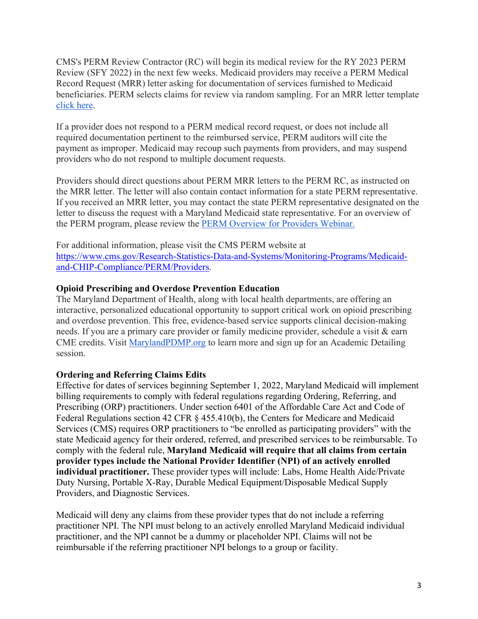CMS's PERM Review Contractor (RC) will begin its medical review for the RY 2023 PERM Review (SFY 2022) in the next few weeks. Medicaid providers may receive a PERM Medical Record Request (MRR) letter asking for documentation of services furnished to Medicaid beneficiaries. PERM selects claims for review via random sampling. For an MRR letter template click here.

If a provider does not respond to a PERM medical record request, or does not include all required documentation pertinent to the reimbursed service, PERM auditors will cite the payment as improper. Medicaid may recoup such payments from providers, and may suspend providers who do not respond to multiple document requests.

Providers should direct questions about PERM MRR letters to the PERM RC, as instructed on the MRR letter. The letter will also contain contact information for a state PERM representative. If you received an MRR letter, you may contact the state PERM representative designated on the letter to discuss the request with a Maryland Medicaid state representative. For an overview of the PERM program, please review the PERM Overview for Providers Webinar.

For additional information, please visit the CMS PERM website at https://www.cms.gov/Research-Statistics-Data-and-Systems/Monitoring-Programs/Medicaidand-CHIP-Compliance/PERM/Providers.

# **Opioid Prescribing and Overdose Prevention Education**

The Maryland Department of Health, along with local health departments, are offering an interactive, personalized educational opportunity to support critical work on opioid prescribing and overdose prevention. This free, evidence-based service supports clinical decision-making needs. If you are a primary care provider or family medicine provider, schedule a visit & earn CME credits. Visit MarylandPDMP.org to learn more and sign up for an Academic Detailing session.

# **Ordering and Referring Claims Edits**

Effective for dates of services beginning September 1, 2022, Maryland Medicaid will implement billing requirements to comply with federal regulations regarding Ordering, Referring, and Prescribing (ORP) practitioners. Under section 6401 of the Affordable Care Act and Code of Federal Regulations section 42 CFR § 455.410(b), the Centers for Medicare and Medicaid Services (CMS) requires ORP practitioners to "be enrolled as participating providers" with the state Medicaid agency for their ordered, referred, and prescribed services to be reimbursable. To comply with the federal rule, **Maryland Medicaid will require that all claims from certain provider types include the National Provider Identifier (NPI) of an actively enrolled individual practitioner.** These provider types will include: Labs, Home Health Aide/Private Duty Nursing, Portable X-Ray, Durable Medical Equipment/Disposable Medical Supply Providers, and Diagnostic Services.

Medicaid will deny any claims from these provider types that do not include a referring practitioner NPI. The NPI must belong to an actively enrolled Maryland Medicaid individual practitioner, and the NPI cannot be a dummy or placeholder NPI. Claims will not be reimbursable if the referring practitioner NPI belongs to a group or facility.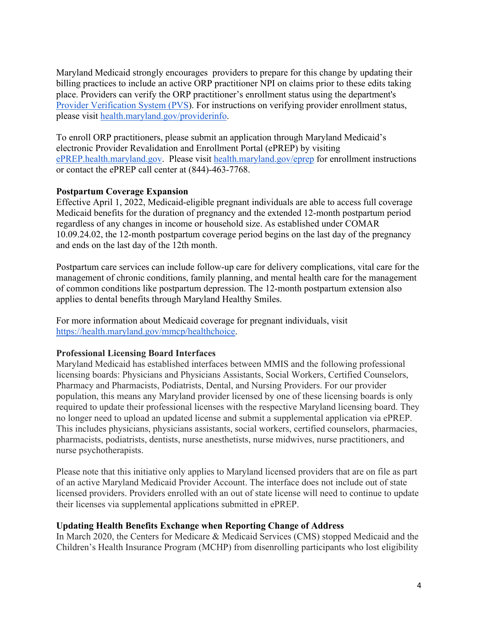Maryland Medicaid strongly encourages providers to prepare for this change by updating their billing practices to include an active ORP practitioner NPI on claims prior to these edits taking place. Providers can verify the ORP practitioner's enrollment status using the department's Provider Verification System (PVS). For instructions on verifying provider enrollment status, please visit health.maryland.gov/providerinfo.

To enroll ORP practitioners, please submit an application through Maryland Medicaid's electronic Provider Revalidation and Enrollment Portal (ePREP) by visiting ePREP.health.maryland.gov. Please visit health.maryland.gov/eprep for enrollment instructions or contact the ePREP call center at (844)-463-7768.

# **Postpartum Coverage Expansion**

Effective April 1, 2022, Medicaid-eligible pregnant individuals are able to access full coverage Medicaid benefits for the duration of pregnancy and the extended 12-month postpartum period regardless of any changes in income or household size. As established under COMAR 10.09.24.02, the 12-month postpartum coverage period begins on the last day of the pregnancy and ends on the last day of the 12th month.

Postpartum care services can include follow-up care for delivery complications, vital care for the management of chronic conditions, family planning, and mental health care for the management of common conditions like postpartum depression. The 12-month postpartum extension also applies to dental benefits through Maryland Healthy Smiles.

For more information about Medicaid coverage for pregnant individuals, visit https://health.maryland.gov/mmcp/healthchoice.

#### **Professional Licensing Board Interfaces**

Maryland Medicaid has established interfaces between MMIS and the following professional licensing boards: Physicians and Physicians Assistants, Social Workers, Certified Counselors, Pharmacy and Pharmacists, Podiatrists, Dental, and Nursing Providers. For our provider population, this means any Maryland provider licensed by one of these licensing boards is only required to update their professional licenses with the respective Maryland licensing board. They no longer need to upload an updated license and submit a supplemental application via ePREP. This includes physicians, physicians assistants, social workers, certified counselors, pharmacies, pharmacists, podiatrists, dentists, nurse anesthetists, nurse midwives, nurse practitioners, and nurse psychotherapists.

Please note that this initiative only applies to Maryland licensed providers that are on file as part of an active Maryland Medicaid Provider Account. The interface does not include out of state licensed providers. Providers enrolled with an out of state license will need to continue to update their licenses via supplemental applications submitted in ePREP.

#### **Updating Health Benefits Exchange when Reporting Change of Address**

In March 2020, the Centers for Medicare & Medicaid Services (CMS) stopped Medicaid and the Children's Health Insurance Program (MCHP) from disenrolling participants who lost eligibility